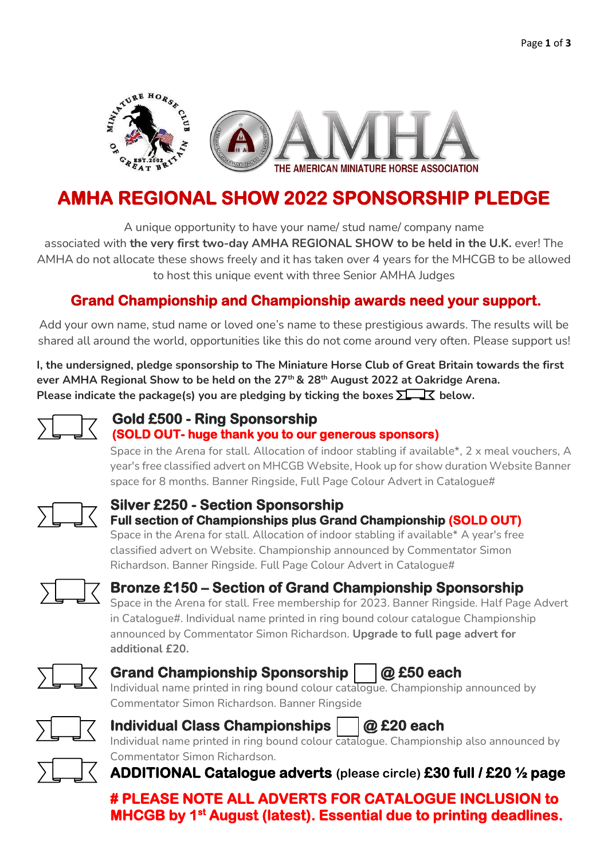

# **AMHA REGIONAL SHOW 2022 SPONSORSHIP PLEDGE**

A unique opportunity to have your name/ stud name/ company name associated with **the very first two-day AMHA REGIONAL SHOW to be held in the U.K.** ever! The AMHA do not allocate these shows freely and it has taken over 4 years for the MHCGB to be allowed to host this unique event with three Senior AMHA Judges

## **Grand Championship and Championship awards need your support.**

Add your own name, stud name or loved one's name to these prestigious awards. The results will be shared all around the world, opportunities like this do not come around very often. Please support us!

**I, the undersigned, pledge sponsorship to The Miniature Horse Club of Great Britain towards the first ever AMHA Regional Show to be held on the 27th & 28th August 2022 at Oakridge Arena. Please indicate the package(s) you are pledging by ticking the boxes**  $\Sigma \rightarrow \mathbb{K}$  **below.** 



#### **Gold £500 - Ring Sponsorship (SOLD OUT- huge thank you to our generous sponsors)**

Space in the Arena for stall. Allocation of indoor stabling if available\*, 2 x meal vouchers, A year's free classified advert on MHCGB Website, Hook up for show duration Website Banner space for 8 months. Banner Ringside, Full Page Colour Advert in Catalogue#



#### **Silver £250 - Section Sponsorship Full section of Championships plus Grand Championship (SOLD OUT)**  Space in the Arena for stall.Allocation of indoor stabling if available\*A year's free

classified advert on Website. Championship announced by Commentator Simon Richardson. Banner Ringside.Full Page Colour Advert in Catalogue#



## **Bronze £150 – Section of Grand Championship Sponsorship**

Space in the Arena for stall. Free membership for 2023. Banner Ringside. Half Page Advert in Catalogue#. Individual name printed in ring bound colour catalogue Championship announced by Commentator Simon Richardson. **Upgrade to full page advert for additional £20.**



## Grand Championship Sponsorship |  $\alpha$  £50 each

Individual name printed in ring bound colour catalogue. Championship announced by Commentator Simon Richardson. Banner Ringside



## **Individual Class Championships |**  $\alpha$  **£20 each**

Individual name printed in ring bound colour catalogue. Championship also announced by Commentator Simon Richardson.

**ADDITIONAL Catalogue adverts (please circle) £30 full / £20 ½ page** 

**# PLEASE NOTE ALL ADVERTS FOR CATALOGUE INCLUSION to MHCGB by 1st August (latest). Essential due to printing deadlines.**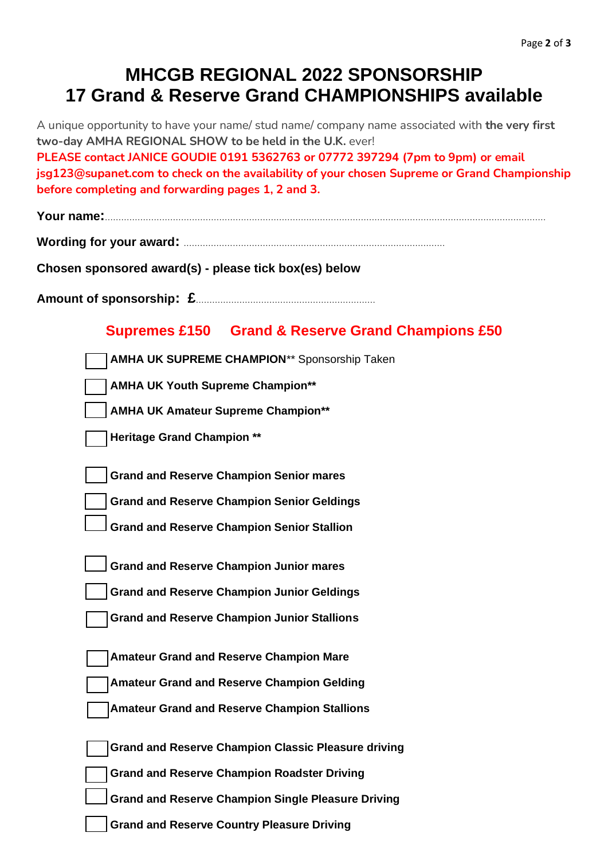# **MHCGB REGIONAL 2022 SPONSORSHIP 17 Grand & Reserve Grand CHAMPIONSHIPS available**

A unique opportunity to have your name/ stud name/ company name associated with **the very first two-day AMHA REGIONAL SHOW to be held in the U.K.** ever!

**PLEASE contact JANICE GOUDIE 0191 5362763 or 07772 397294 (7pm to 9pm) or email jsg123@supanet.com to check on the availability of your chosen Supreme or Grand Championship before completing and forwarding pages 1, 2 and 3.**

**Your name:**………………………………………………………………………………………………………………………………………………

**Wording for your award:** ……………………………………………………………………………………

**Chosen sponsored award(s) - please tick box(es) below**

**Amount of sponsorship: £**…………………………………………………………

#### **Supremes £150 Grand & Reserve Grand Champions £50**

| <b>AMHA UK SUPREME CHAMPION** Sponsorship Taken</b>        |
|------------------------------------------------------------|
| <b>AMHA UK Youth Supreme Champion**</b>                    |
| <b>AMHA UK Amateur Supreme Champion**</b>                  |
| <b>Heritage Grand Champion **</b>                          |
|                                                            |
| <b>Grand and Reserve Champion Senior mares</b>             |
| <b>Grand and Reserve Champion Senior Geldings</b>          |
| <b>Grand and Reserve Champion Senior Stallion</b>          |
|                                                            |
| <b>Grand and Reserve Champion Junior mares</b>             |
| <b>Grand and Reserve Champion Junior Geldings</b>          |
| <b>Grand and Reserve Champion Junior Stallions</b>         |
|                                                            |
| <b>Amateur Grand and Reserve Champion Mare</b>             |
| <b>Amateur Grand and Reserve Champion Gelding</b>          |
| <b>Amateur Grand and Reserve Champion Stallions</b>        |
|                                                            |
| <b>Grand and Reserve Champion Classic Pleasure driving</b> |
| <b>Grand and Reserve Champion Roadster Driving</b>         |
| <b>Grand and Reserve Champion Single Pleasure Driving</b>  |
| <b>Grand and Reserve Country Pleasure Driving</b>          |